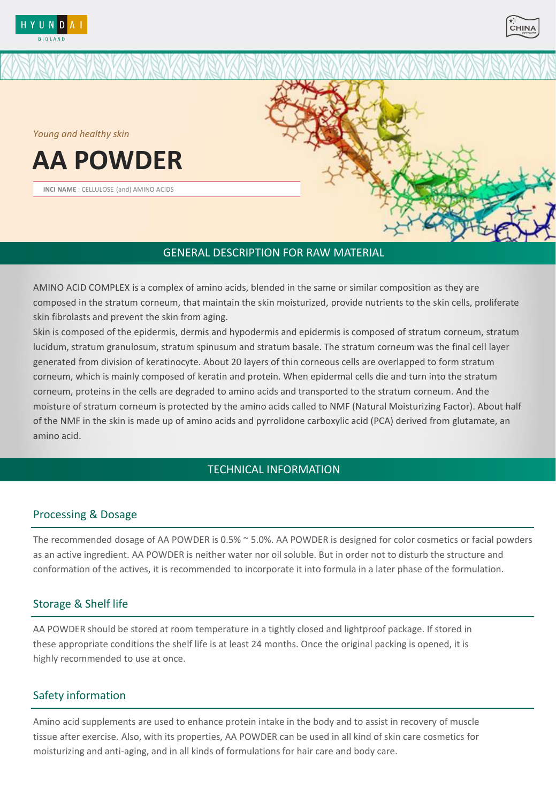



*Young and healthy skin* 

# **AA POWDER**

**INCI NAME** : CELLULOSE (and) AMINO ACIDS



#### GENERAL DESCRIPTION FOR RAW MATERIAL

AMINO ACID COMPLEX is a complex of amino acids, blended in the same or similar composition as they are composed in the stratum corneum, that maintain the skin moisturized, provide nutrients to the skin cells, proliferate skin fibrolasts and prevent the skin from aging.

Skin is composed of the epidermis, dermis and hypodermis and epidermis is composed of stratum corneum, stratum lucidum, stratum granulosum, stratum spinusum and stratum basale. The stratum corneum was the final cell layer generated from division of keratinocyte. About 20 layers of thin corneous cells are overlapped to form stratum corneum, which is mainly composed of keratin and protein. When epidermal cells die and turn into the stratum corneum, proteins in the cells are degraded to amino acids and transported to the stratum corneum. And the moisture of stratum corneum is protected by the amino acids called to NMF (Natural Moisturizing Factor). About half of the NMF in the skin is made up of amino acids and pyrrolidone carboxylic acid (PCA) derived from glutamate, an amino acid.

### TECHNICAL INFORMATION

#### Processing & Dosage

The recommended dosage of AA POWDER is 0.5% ~ 5.0%. AA POWDER is designed for color cosmetics or facial powders as an active ingredient. AA POWDER is neither water nor oil soluble. But in order not to disturb the structure and conformation of the actives, it is recommended to incorporate it into formula in a later phase of the formulation.

#### Storage & Shelf life

AA POWDER should be stored at room temperature in a tightly closed and lightproof package. If stored in these appropriate conditions the shelf life is at least 24 months. Once the original packing is opened, it is highly recommended to use at once.

#### Safety information

Amino acid supplements are used to enhance protein intake in the body and to assist in recovery of muscle tissue after exercise. Also, with its properties, AA POWDER can be used in all kind of skin care cosmetics for moisturizing and anti-aging, and in all kinds of formulations for hair care and body care.